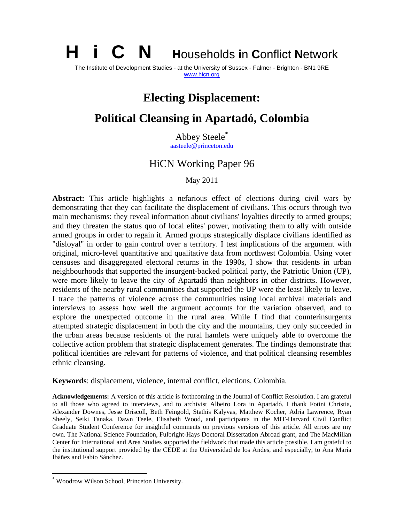**i** C **N Households in Conflict Network** 

The Institute of Development Studies - at the University of Sussex - Falmer - Brighton - BN1 9RE www.hicn.org

# **Electing Displacement:**

# **Political Cleansing in Apartadó, Colombia**

Abbey Steele\*

aasteele@princeton.edu

## HiCN Working Paper 96

May 2011

**Abstract:** This article highlights a nefarious effect of elections during civil wars by demonstrating that they can facilitate the displacement of civilians. This occurs through two main mechanisms: they reveal information about civilians' loyalties directly to armed groups; and they threaten the status quo of local elites' power, motivating them to ally with outside armed groups in order to regain it. Armed groups strategically displace civilians identified as "disloyal" in order to gain control over a territory. I test implications of the argument with original, micro-level quantitative and qualitative data from northwest Colombia. Using voter censuses and disaggregated electoral returns in the 1990s, I show that residents in urban neighbourhoods that supported the insurgent-backed political party, the Patriotic Union (UP), were more likely to leave the city of Apartadó than neighbors in other districts. However, residents of the nearby rural communities that supported the UP were the least likely to leave. I trace the patterns of violence across the communities using local archival materials and interviews to assess how well the argument accounts for the variation observed, and to explore the unexpected outcome in the rural area. While I find that counterinsurgents attempted strategic displacement in both the city and the mountains, they only succeeded in the urban areas because residents of the rural hamlets were uniquely able to overcome the collective action problem that strategic displacement generates. The findings demonstrate that political identities are relevant for patterns of violence, and that political cleansing resembles ethnic cleansing.

**Keywords**: displacement, violence, internal conflict, elections, Colombia.

**Acknowledgements:** A version of this article is forthcoming in the Journal of Conflict Resolution. I am grateful to all those who agreed to interviews, and to archivist Albeiro Lora in Apartadó. I thank Fotini Christia, Alexander Downes, Jesse Driscoll, Beth Feingold, Stathis Kalyvas, Matthew Kocher, Adria Lawrence, Ryan Sheely, Seiki Tanaka, Dawn Teele, Elisabeth Wood, and participants in the MIT-Harvard Civil Conflict Graduate Student Conference for insightful comments on previous versions of this article. All errors are my own. The National Science Foundation, Fulbright-Hays Doctoral Dissertation Abroad grant, and The MacMillan Center for International and Area Studies supported the fieldwork that made this article possible. I am grateful to the institutional support provided by the CEDE at the Universidad de los Andes, and especially, to Ana María Ibáñez and Fabio Sánchez.

 $\overline{a}$ 

<sup>\*</sup> Woodrow Wilson School, Princeton University.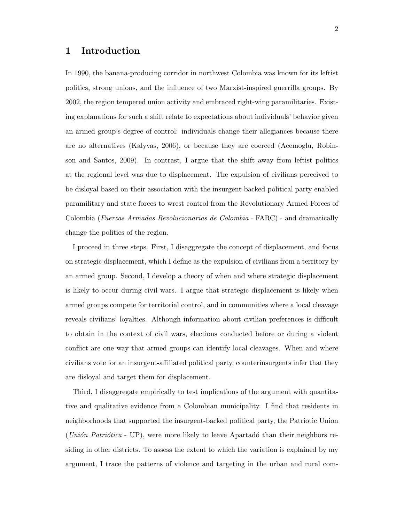### 1 Introduction

In 1990, the banana-producing corridor in northwest Colombia was known for its leftist politics, strong unions, and the influence of two Marxist-inspired guerrilla groups. By 2002, the region tempered union activity and embraced right-wing paramilitaries. Existing explanations for such a shift relate to expectations about individuals' behavior given an armed group's degree of control: individuals change their allegiances because there are no alternatives (Kalyvas, 2006), or because they are coerced (Acemoglu, Robinson and Santos, 2009). In contrast, I argue that the shift away from leftist politics at the regional level was due to displacement. The expulsion of civilians perceived to be disloyal based on their association with the insurgent-backed political party enabled paramilitary and state forces to wrest control from the Revolutionary Armed Forces of Colombia (Fuerzas Armadas Revolucionarias de Colombia - FARC) - and dramatically change the politics of the region.

I proceed in three steps. First, I disaggregate the concept of displacement, and focus on strategic displacement, which I define as the expulsion of civilians from a territory by an armed group. Second, I develop a theory of when and where strategic displacement is likely to occur during civil wars. I argue that strategic displacement is likely when armed groups compete for territorial control, and in communities where a local cleavage reveals civilians' loyalties. Although information about civilian preferences is difficult to obtain in the context of civil wars, elections conducted before or during a violent conflict are one way that armed groups can identify local cleavages. When and where civilians vote for an insurgent-affiliated political party, counterinsurgents infer that they are disloyal and target them for displacement.

Third, I disaggregate empirically to test implications of the argument with quantitative and qualitative evidence from a Colombian municipality. I find that residents in neighborhoods that supported the insurgent-backed political party, the Patriotic Union  $(Union Patriótica - UP)$ , were more likely to leave Apartadó than their neighbors residing in other districts. To assess the extent to which the variation is explained by my argument, I trace the patterns of violence and targeting in the urban and rural com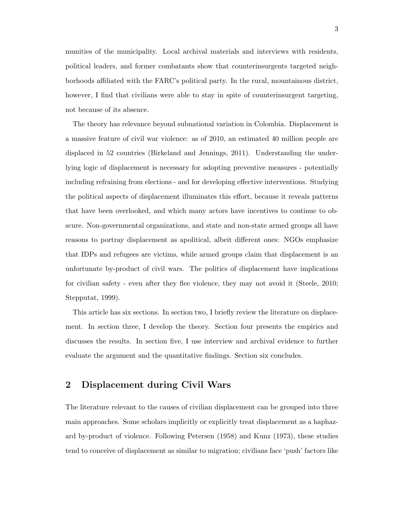munities of the municipality. Local archival materials and interviews with residents, political leaders, and former combatants show that counterinsurgents targeted neighborhoods affiliated with the FARC's political party. In the rural, mountainous district, however, I find that civilians were able to stay in spite of counterinsurgent targeting, not because of its absence.

The theory has relevance beyond subnational variation in Colombia. Displacement is a massive feature of civil war violence: as of 2010, an estimated 40 million people are displaced in 52 countries (Birkeland and Jennings, 2011). Understanding the underlying logic of displacement is necessary for adopting preventive measures - potentially including refraining from elections - and for developing effective interventions. Studying the political aspects of displacement illuminates this effort, because it reveals patterns that have been overlooked, and which many actors have incentives to continue to obscure. Non-governmental organizations, and state and non-state armed groups all have reasons to portray displacement as apolitical, albeit different ones: NGOs emphasize that IDPs and refugees are victims, while armed groups claim that displacement is an unfortunate by-product of civil wars. The politics of displacement have implications for civilian safety - even after they flee violence, they may not avoid it (Steele, 2010; Stepputat, 1999).

This article has six sections. In section two, I briefly review the literature on displacement. In section three, I develop the theory. Section four presents the empirics and discusses the results. In section five, I use interview and archival evidence to further evaluate the argument and the quantitative findings. Section six concludes.

## 2 Displacement during Civil Wars

The literature relevant to the causes of civilian displacement can be grouped into three main approaches. Some scholars implicitly or explicitly treat displacement as a haphazard by-product of violence. Following Petersen (1958) and Kunz (1973), these studies tend to conceive of displacement as similar to migration; civilians face 'push' factors like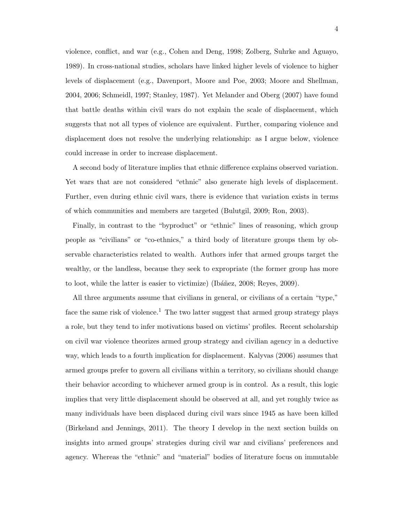violence, conflict, and war (e.g., Cohen and Deng, 1998; Zolberg, Suhrke and Aguayo, 1989). In cross-national studies, scholars have linked higher levels of violence to higher levels of displacement (e.g., Davenport, Moore and Poe, 2003; Moore and Shellman, 2004, 2006; Schmeidl, 1997; Stanley, 1987). Yet Melander and Oberg (2007) have found that battle deaths within civil wars do not explain the scale of displacement, which suggests that not all types of violence are equivalent. Further, comparing violence and displacement does not resolve the underlying relationship: as I argue below, violence could increase in order to increase displacement.

A second body of literature implies that ethnic difference explains observed variation. Yet wars that are not considered "ethnic" also generate high levels of displacement. Further, even during ethnic civil wars, there is evidence that variation exists in terms of which communities and members are targeted (Bulutgil, 2009; Ron, 2003).

Finally, in contrast to the "byproduct" or "ethnic" lines of reasoning, which group people as "civilians" or "co-ethnics," a third body of literature groups them by observable characteristics related to wealth. Authors infer that armed groups target the wealthy, or the landless, because they seek to expropriate (the former group has more to loot, while the latter is easier to victimize) (Ibáñez, 2008; Reyes, 2009).

All three arguments assume that civilians in general, or civilians of a certain "type," face the same risk of violence.<sup>1</sup> The two latter suggest that armed group strategy plays a role, but they tend to infer motivations based on victims' profiles. Recent scholarship on civil war violence theorizes armed group strategy and civilian agency in a deductive way, which leads to a fourth implication for displacement. Kalyvas (2006) assumes that armed groups prefer to govern all civilians within a territory, so civilians should change their behavior according to whichever armed group is in control. As a result, this logic implies that very little displacement should be observed at all, and yet roughly twice as many individuals have been displaced during civil wars since 1945 as have been killed (Birkeland and Jennings, 2011). The theory I develop in the next section builds on insights into armed groups' strategies during civil war and civilians' preferences and agency. Whereas the "ethnic" and "material" bodies of literature focus on immutable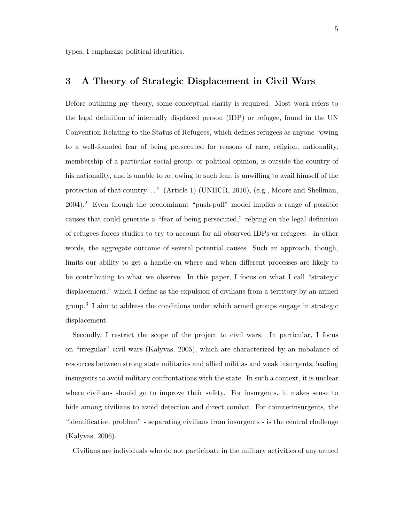types, I emphasize political identities.

### 3 A Theory of Strategic Displacement in Civil Wars

Before outlining my theory, some conceptual clarity is required. Most work refers to the legal definition of internally displaced person (IDP) or refugee, found in the UN Convention Relating to the Status of Refugees, which defines refugees as anyone "owing to a well-founded fear of being persecuted for reasons of race, religion, nationality, membership of a particular social group, or political opinion, is outside the country of his nationality, and is unable to or, owing to such fear, is unwilling to avail himself of the protection of that country..." (Article 1) (UNHCR, 2010), (e.g., Moore and Shellman,  $2004$ .<sup>2</sup> Even though the predominant "push-pull" model implies a range of possible causes that could generate a "fear of being persecuted," relying on the legal definition of refugees forces studies to try to account for all observed IDPs or refugees - in other words, the aggregate outcome of several potential causes. Such an approach, though, limits our ability to get a handle on where and when different processes are likely to be contributing to what we observe. In this paper, I focus on what I call "strategic displacement," which I define as the expulsion of civilians from a territory by an armed group.<sup>3</sup> I aim to address the conditions under which armed groups engage in strategic displacement.

Secondly, I restrict the scope of the project to civil wars. In particular, I focus on "irregular" civil wars (Kalyvas, 2005), which are characterized by an imbalance of resources between strong state militaries and allied militias and weak insurgents, leading insurgents to avoid military confrontations with the state. In such a context, it is unclear where civilians should go to improve their safety. For insurgents, it makes sense to hide among civilians to avoid detection and direct combat. For counterinsurgents, the "identification problem" - separating civilians from insurgents - is the central challenge (Kalyvas, 2006).

Civilians are individuals who do not participate in the military activities of any armed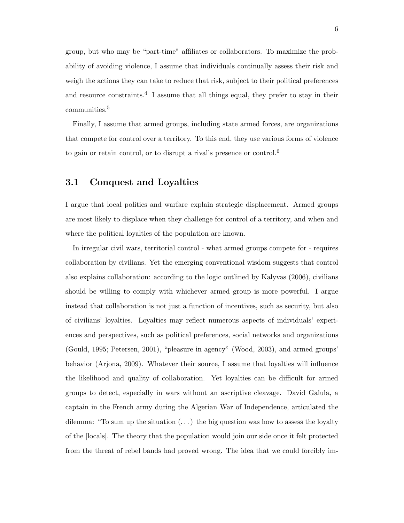group, but who may be "part-time" affiliates or collaborators. To maximize the probability of avoiding violence, I assume that individuals continually assess their risk and weigh the actions they can take to reduce that risk, subject to their political preferences and resource constraints.<sup>4</sup> I assume that all things equal, they prefer to stay in their communities.<sup>5</sup>

Finally, I assume that armed groups, including state armed forces, are organizations that compete for control over a territory. To this end, they use various forms of violence to gain or retain control, or to disrupt a rival's presence or control.<sup>6</sup>

#### 3.1 Conquest and Loyalties

I argue that local politics and warfare explain strategic displacement. Armed groups are most likely to displace when they challenge for control of a territory, and when and where the political loyalties of the population are known.

In irregular civil wars, territorial control - what armed groups compete for - requires collaboration by civilians. Yet the emerging conventional wisdom suggests that control also explains collaboration: according to the logic outlined by Kalyvas (2006), civilians should be willing to comply with whichever armed group is more powerful. I argue instead that collaboration is not just a function of incentives, such as security, but also of civilians' loyalties. Loyalties may reflect numerous aspects of individuals' experiences and perspectives, such as political preferences, social networks and organizations (Gould, 1995; Petersen, 2001), "pleasure in agency" (Wood, 2003), and armed groups' behavior (Arjona, 2009). Whatever their source, I assume that loyalties will influence the likelihood and quality of collaboration. Yet loyalties can be difficult for armed groups to detect, especially in wars without an ascriptive cleavage. David Galula, a captain in the French army during the Algerian War of Independence, articulated the dilemma: "To sum up the situation  $(\ldots)$  the big question was how to assess the loyalty of the [locals]. The theory that the population would join our side once it felt protected from the threat of rebel bands had proved wrong. The idea that we could forcibly im-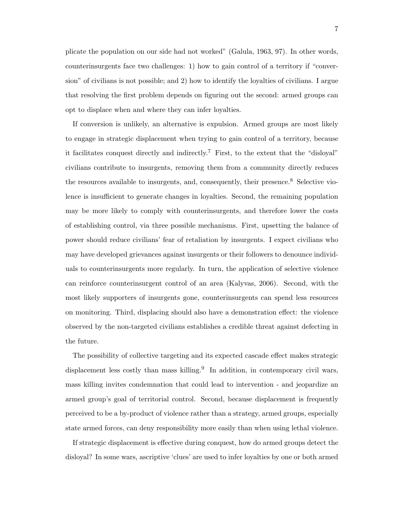plicate the population on our side had not worked" (Galula, 1963, 97). In other words, counterinsurgents face two challenges: 1) how to gain control of a territory if "conversion" of civilians is not possible; and 2) how to identify the loyalties of civilians. I argue that resolving the first problem depends on figuring out the second: armed groups can opt to displace when and where they can infer loyalties.

If conversion is unlikely, an alternative is expulsion. Armed groups are most likely to engage in strategic displacement when trying to gain control of a territory, because it facilitates conquest directly and indirectly.<sup>7</sup> First, to the extent that the "disloyal" civilians contribute to insurgents, removing them from a community directly reduces the resources available to insurgents, and, consequently, their presence.<sup>8</sup> Selective violence is insufficient to generate changes in loyalties. Second, the remaining population may be more likely to comply with counterinsurgents, and therefore lower the costs of establishing control, via three possible mechanisms. First, upsetting the balance of power should reduce civilians' fear of retaliation by insurgents. I expect civilians who may have developed grievances against insurgents or their followers to denounce individuals to counterinsurgents more regularly. In turn, the application of selective violence can reinforce counterinsurgent control of an area (Kalyvas, 2006). Second, with the most likely supporters of insurgents gone, counterinsurgents can spend less resources on monitoring. Third, displacing should also have a demonstration effect: the violence observed by the non-targeted civilians establishes a credible threat against defecting in the future.

The possibility of collective targeting and its expected cascade effect makes strategic displacement less costly than mass killing.<sup>9</sup> In addition, in contemporary civil wars, mass killing invites condemnation that could lead to intervention - and jeopardize an armed group's goal of territorial control. Second, because displacement is frequently perceived to be a by-product of violence rather than a strategy, armed groups, especially state armed forces, can deny responsibility more easily than when using lethal violence.

If strategic displacement is effective during conquest, how do armed groups detect the disloyal? In some wars, ascriptive 'clues' are used to infer loyalties by one or both armed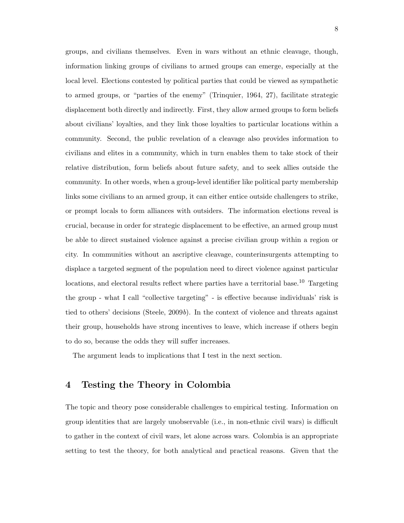groups, and civilians themselves. Even in wars without an ethnic cleavage, though, information linking groups of civilians to armed groups can emerge, especially at the local level. Elections contested by political parties that could be viewed as sympathetic to armed groups, or "parties of the enemy" (Trinquier, 1964, 27), facilitate strategic displacement both directly and indirectly. First, they allow armed groups to form beliefs about civilians' loyalties, and they link those loyalties to particular locations within a community. Second, the public revelation of a cleavage also provides information to civilians and elites in a community, which in turn enables them to take stock of their relative distribution, form beliefs about future safety, and to seek allies outside the community. In other words, when a group-level identifier like political party membership links some civilians to an armed group, it can either entice outside challengers to strike, or prompt locals to form alliances with outsiders. The information elections reveal is crucial, because in order for strategic displacement to be effective, an armed group must be able to direct sustained violence against a precise civilian group within a region or city. In communities without an ascriptive cleavage, counterinsurgents attempting to displace a targeted segment of the population need to direct violence against particular locations, and electoral results reflect where parties have a territorial base.<sup>10</sup> Targeting the group - what I call "collective targeting" - is effective because individuals' risk is tied to others' decisions (Steele,  $2009b$ ). In the context of violence and threats against their group, households have strong incentives to leave, which increase if others begin to do so, because the odds they will suffer increases.

The argument leads to implications that I test in the next section.

## 4 Testing the Theory in Colombia

The topic and theory pose considerable challenges to empirical testing. Information on group identities that are largely unobservable (i.e., in non-ethnic civil wars) is difficult to gather in the context of civil wars, let alone across wars. Colombia is an appropriate setting to test the theory, for both analytical and practical reasons. Given that the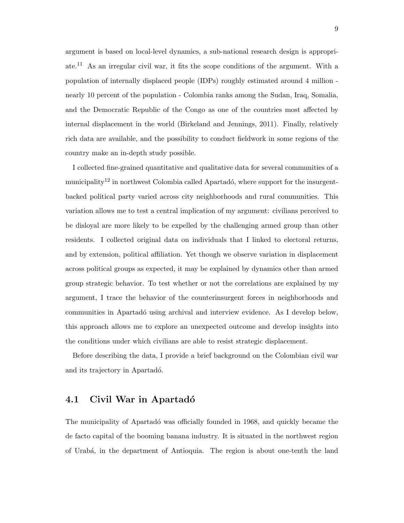argument is based on local-level dynamics, a sub-national research design is appropriate.<sup>11</sup> As an irregular civil war, it fits the scope conditions of the argument. With a population of internally displaced people (IDPs) roughly estimated around 4 million nearly 10 percent of the population - Colombia ranks among the Sudan, Iraq, Somalia, and the Democratic Republic of the Congo as one of the countries most affected by internal displacement in the world (Birkeland and Jennings, 2011). Finally, relatively rich data are available, and the possibility to conduct fieldwork in some regions of the country make an in-depth study possible.

I collected fine-grained quantitative and qualitative data for several communities of a municipality<sup>12</sup> in northwest Colombia called Apartadó, where support for the insurgentbacked political party varied across city neighborhoods and rural communities. This variation allows me to test a central implication of my argument: civilians perceived to be disloyal are more likely to be expelled by the challenging armed group than other residents. I collected original data on individuals that I linked to electoral returns, and by extension, political affiliation. Yet though we observe variation in displacement across political groups as expected, it may be explained by dynamics other than armed group strategic behavior. To test whether or not the correlations are explained by my argument, I trace the behavior of the counterinsurgent forces in neighborhoods and communities in Apartadó using archival and interview evidence. As I develop below, this approach allows me to explore an unexpected outcome and develop insights into the conditions under which civilians are able to resist strategic displacement.

Before describing the data, I provide a brief background on the Colombian civil war and its trajectory in Apartadó.

### 4.1 Civil War in Apartadó

The municipality of Apartado was officially founded in 1968, and quickly became the de facto capital of the booming banana industry. It is situated in the northwest region of Urab´a, in the department of Antioquia. The region is about one-tenth the land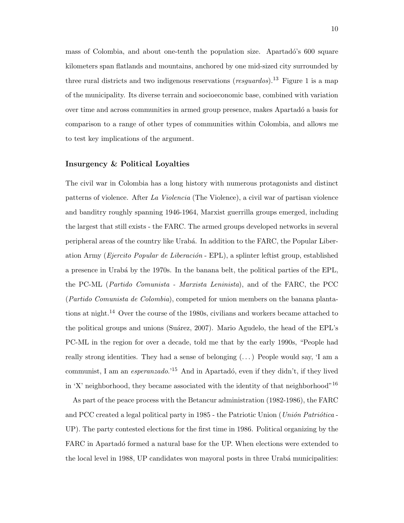mass of Colombia, and about one-tenth the population size. Apartadó's 600 square kilometers span flatlands and mountains, anchored by one mid-sized city surrounded by three rural districts and two indigenous reservations (*resquardos*).<sup>13</sup> Figure 1 is a map of the municipality. Its diverse terrain and socioeconomic base, combined with variation over time and across communities in armed group presence, makes Apartad´o a basis for comparison to a range of other types of communities within Colombia, and allows me to test key implications of the argument.

#### Insurgency & Political Loyalties

The civil war in Colombia has a long history with numerous protagonists and distinct patterns of violence. After La Violencia (The Violence), a civil war of partisan violence and banditry roughly spanning 1946-1964, Marxist guerrilla groups emerged, including the largest that still exists - the FARC. The armed groups developed networks in several peripheral areas of the country like Urab´a. In addition to the FARC, the Popular Liberation Army (*Ejercito Popular de Liberación* - EPL), a splinter leftist group, established a presence in Urab´a by the 1970s. In the banana belt, the political parties of the EPL, the PC-ML (Partido Comunista - Marxista Leninista), and of the FARC, the PCC (Partido Comunista de Colombia), competed for union members on the banana plantations at night.<sup>14</sup> Over the course of the 1980s, civilians and workers became attached to the political groups and unions (Suárez, 2007). Mario Agudelo, the head of the EPL's PC-ML in the region for over a decade, told me that by the early 1990s, "People had really strong identities. They had a sense of belonging  $(\,\ldots\,)$  People would say, 'I am a communist, I am an  $e$ speranzado.<sup>15</sup> And in Apartadó, even if they didn't, if they lived in 'X' neighborhood, they became associated with the identity of that neighborhood"<sup>16</sup>

As part of the peace process with the Betancur administration (1982-1986), the FARC and PCC created a legal political party in 1985 - the Patriotic Union (Unión Patriótica -UP). The party contested elections for the first time in 1986. Political organizing by the FARC in Apartadó formed a natural base for the UP. When elections were extended to the local level in 1988, UP candidates won mayoral posts in three Urabá municipalities: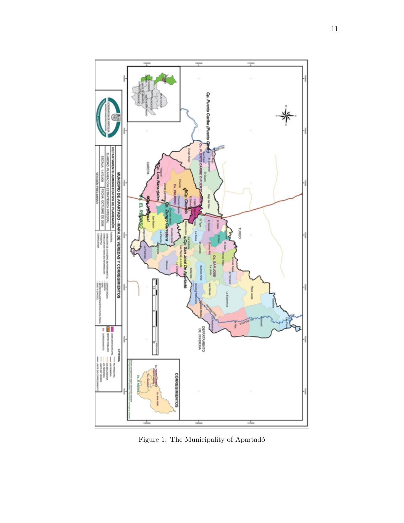

Figure 1: The Municipality of Apartadó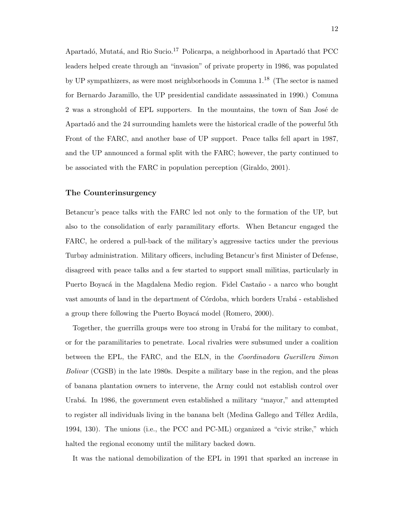Apartadó, Mutatá, and Rio Sucio.<sup>17</sup> Policarpa, a neighborhood in Apartadó that PCC leaders helped create through an "invasion" of private property in 1986, was populated by UP sympathizers, as were most neighborhoods in Comuna 1.<sup>18</sup> (The sector is named for Bernardo Jaramillo, the UP presidential candidate assassinated in 1990.) Comuna 2 was a stronghold of EPL supporters. In the mountains, the town of San José de Apartadó and the 24 surrounding hamlets were the historical cradle of the powerful 5th Front of the FARC, and another base of UP support. Peace talks fell apart in 1987, and the UP announced a formal split with the FARC; however, the party continued to be associated with the FARC in population perception (Giraldo, 2001).

#### The Counterinsurgency

Betancur's peace talks with the FARC led not only to the formation of the UP, but also to the consolidation of early paramilitary efforts. When Betancur engaged the FARC, he ordered a pull-back of the military's aggressive tactics under the previous Turbay administration. Military officers, including Betancur's first Minister of Defense, disagreed with peace talks and a few started to support small militias, particularly in Puerto Boyacá in the Magdalena Medio region. Fidel Castaño - a narco who bought vast amounts of land in the department of Córdoba, which borders Urabá - established a group there following the Puerto Boyacá model (Romero, 2000).

Together, the guerrilla groups were too strong in Urabá for the military to combat, or for the paramilitaries to penetrate. Local rivalries were subsumed under a coalition between the EPL, the FARC, and the ELN, in the Coordinadora Guerillera Simon Bolivar (CGSB) in the late 1980s. Despite a military base in the region, and the pleas of banana plantation owners to intervene, the Army could not establish control over Urabá. In 1986, the government even established a military "mayor," and attempted to register all individuals living in the banana belt (Medina Gallego and Téllez Ardila, 1994, 130). The unions (i.e., the PCC and PC-ML) organized a "civic strike," which halted the regional economy until the military backed down.

It was the national demobilization of the EPL in 1991 that sparked an increase in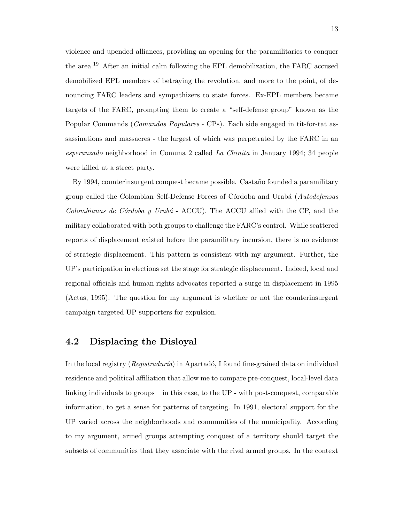violence and upended alliances, providing an opening for the paramilitaries to conquer the area.<sup>19</sup> After an initial calm following the EPL demobilization, the FARC accused demobilized EPL members of betraying the revolution, and more to the point, of denouncing FARC leaders and sympathizers to state forces. Ex-EPL members became targets of the FARC, prompting them to create a "self-defense group" known as the Popular Commands (Comandos Populares - CPs). Each side engaged in tit-for-tat assassinations and massacres - the largest of which was perpetrated by the FARC in an esperanzado neighborhood in Comuna 2 called La Chinita in January 1994; 34 people were killed at a street party.

By 1994, counterinsurgent conquest became possible. Castaño founded a paramilitary group called the Colombian Self-Defense Forces of Córdoba and Urabá (Autodefensas Colombianas de Córdoba y Urabá - ACCU). The ACCU allied with the CP, and the military collaborated with both groups to challenge the FARC's control. While scattered reports of displacement existed before the paramilitary incursion, there is no evidence of strategic displacement. This pattern is consistent with my argument. Further, the UP's participation in elections set the stage for strategic displacement. Indeed, local and regional officials and human rights advocates reported a surge in displacement in 1995 (Actas, 1995). The question for my argument is whether or not the counterinsurgent campaign targeted UP supporters for expulsion.

## 4.2 Displacing the Disloyal

In the local registry ( $Reqistradur(a)$  in Apartado, I found fine-grained data on individual residence and political affiliation that allow me to compare pre-conquest, local-level data linking individuals to groups – in this case, to the UP - with post-conquest, comparable information, to get a sense for patterns of targeting. In 1991, electoral support for the UP varied across the neighborhoods and communities of the municipality. According to my argument, armed groups attempting conquest of a territory should target the subsets of communities that they associate with the rival armed groups. In the context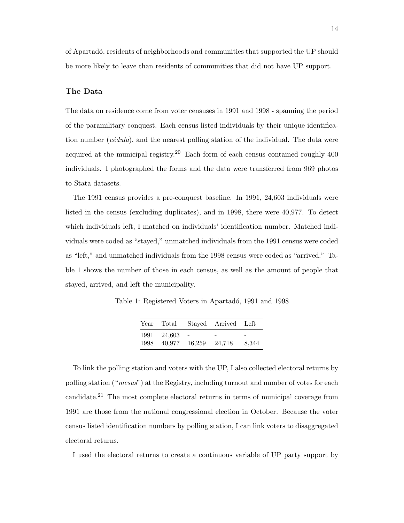of Apartad´o, residents of neighborhoods and communities that supported the UP should be more likely to leave than residents of communities that did not have UP support.

#### The Data

The data on residence come from voter censuses in 1991 and 1998 - spanning the period of the paramilitary conquest. Each census listed individuals by their unique identification number  $(c\acute{e}dula)$ , and the nearest polling station of the individual. The data were acquired at the municipal registry.<sup>20</sup> Each form of each census contained roughly  $400$ individuals. I photographed the forms and the data were transferred from 969 photos to Stata datasets.

The 1991 census provides a pre-conquest baseline. In 1991, 24,603 individuals were listed in the census (excluding duplicates), and in 1998, there were 40,977. To detect which individuals left, I matched on individuals' identification number. Matched individuals were coded as "stayed," unmatched individuals from the 1991 census were coded as "left," and unmatched individuals from the 1998 census were coded as "arrived." Table 1 shows the number of those in each census, as well as the amount of people that stayed, arrived, and left the municipality.

Table 1: Registered Voters in Apartadó, 1991 and 1998

|      | Year Total  |               | Stayed Arrived Left |       |
|------|-------------|---------------|---------------------|-------|
|      | 1991 24,603 | $\sim$        |                     |       |
| 1998 |             | 40.977 16.259 | 24.718              | 8,344 |

To link the polling station and voters with the UP, I also collected electoral returns by polling station ("mesas") at the Registry, including turnout and number of votes for each candidate.<sup>21</sup> The most complete electoral returns in terms of municipal coverage from 1991 are those from the national congressional election in October. Because the voter census listed identification numbers by polling station, I can link voters to disaggregated electoral returns.

I used the electoral returns to create a continuous variable of UP party support by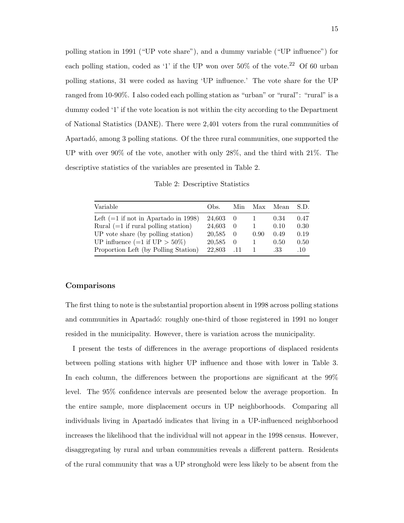polling station in 1991 ("UP vote share"), and a dummy variable ("UP influence") for each polling station, coded as '1' if the UP won over  $50\%$  of the vote.<sup>22</sup> Of 60 urban polling stations, 31 were coded as having 'UP influence.' The vote share for the UP ranged from 10-90%. I also coded each polling station as "urban" or "rural": "rural" is a dummy coded '1' if the vote location is not within the city according to the Department of National Statistics (DANE). There were 2,401 voters from the rural communities of Apartadó, among 3 polling stations. Of the three rural communities, one supported the UP with over 90% of the vote, another with only 28%, and the third with 21%. The descriptive statistics of the variables are presented in Table 2.

| Variable                                  | Obs.   |           |      | Min Max Mean | S.D. |
|-------------------------------------------|--------|-----------|------|--------------|------|
| Left $(=1$ if not in Apartado in 1998)    | 24.603 | $\bigcup$ |      | 0.34         | 0.47 |
| Rural $(=1$ if rural polling station)     | 24.603 | - 0       |      | 0.10         | 0.30 |
| UP vote share (by polling station)        | 20,585 | $\theta$  | 0.90 | 0.49         | 0.19 |
| UP influence $(=1 \text{ if } UP > 50\%)$ | 20,585 | - 0       | 1    | 0.50         | 0.50 |
| Proportion Left (by Polling Station)      | 22,803 | - .11     |      | .33          | .10  |
|                                           |        |           |      |              |      |

Table 2: Descriptive Statistics

#### Comparisons

The first thing to note is the substantial proportion absent in 1998 across polling stations and communities in Apartadó: roughly one-third of those registered in 1991 no longer resided in the municipality. However, there is variation across the municipality.

I present the tests of differences in the average proportions of displaced residents between polling stations with higher UP influence and those with lower in Table 3. In each column, the differences between the proportions are significant at the 99% level. The 95% confidence intervals are presented below the average proportion. In the entire sample, more displacement occurs in UP neighborhoods. Comparing all individuals living in Apartadó indicates that living in a UP-influenced neighborhood increases the likelihood that the individual will not appear in the 1998 census. However, disaggregating by rural and urban communities reveals a different pattern. Residents of the rural community that was a UP stronghold were less likely to be absent from the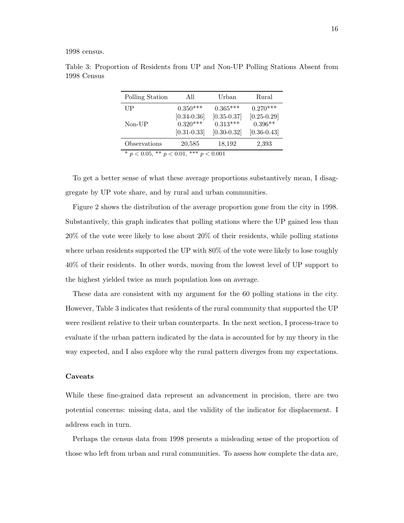1998 census.

| Polling Station                                       | All                           | Urban                         | Rural                        |  |  |
|-------------------------------------------------------|-------------------------------|-------------------------------|------------------------------|--|--|
| $_{\rm UP}$                                           | $0.350***$                    | $0.365***$                    | $0.270***$                   |  |  |
|                                                       | $[0.34 - 0.36]$               | $[0.35 - 0.37]$               | $[0.25 - 0.29]$              |  |  |
| $Non-UP$                                              | $0.320***$<br>$[0.31 - 0.33]$ | $0.313***$<br>$[0.30 - 0.32]$ | $0.396**$<br>$[0.36 - 0.43]$ |  |  |
|                                                       |                               |                               |                              |  |  |
| Observations                                          | 20,585                        | 18,192                        | 2,393                        |  |  |
| *** $n < 0.001$<br>$*_{n}$ / 0.05<br>** $n \geq 0.01$ |                               |                               |                              |  |  |

Table 3: Proportion of Residents from UP and Non-UP Polling Stations Absent from 1998 Census

 $p < 0.001$ 

To get a better sense of what these average proportions substantively mean, I disaggregate by UP vote share, and by rural and urban communities.

Figure 2 shows the distribution of the average proportion gone from the city in 1998. Substantively, this graph indicates that polling stations where the UP gained less than 20% of the vote were likely to lose about 20% of their residents, while polling stations where urban residents supported the UP with  $80\%$  of the vote were likely to lose roughly 40% of their residents. In other words, moving from the lowest level of UP support to the highest yielded twice as much population loss on average.

These data are consistent with my argument for the 60 polling stations in the city. However, Table 3 indicates that residents of the rural community that supported the UP were resilient relative to their urban counterparts. In the next section, I process-trace to evaluate if the urban pattern indicated by the data is accounted for by my theory in the way expected, and I also explore why the rural pattern diverges from my expectations.

#### Caveats

While these fine-grained data represent an advancement in precision, there are two potential concerns: missing data, and the validity of the indicator for displacement. I address each in turn.

Perhaps the census data from 1998 presents a misleading sense of the proportion of those who left from urban and rural communities. To assess how complete the data are,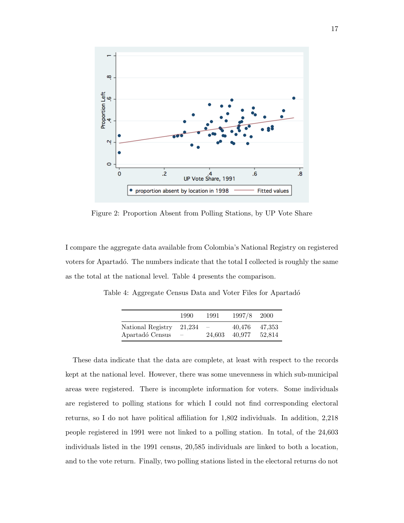

Figure 2: Proportion Absent from Polling Stations, by UP Vote Share

I compare the aggregate data available from Colombia's National Registry on registered voters for Apartadó. The numbers indicate that the total I collected is roughly the same as the total at the national level. Table 4 presents the comparison.

Table 4: Aggregate Census Data and Voter Files for Apartadó

|                   | 1990                     | 1991                     | 1997/8 2000 |        |
|-------------------|--------------------------|--------------------------|-------------|--------|
| National Registry | 21.234                   | $\overline{\phantom{m}}$ | 40.476      | 47.353 |
| Apartadó Census   | $\overline{\phantom{m}}$ | 24.603                   | 40.977      | 52.814 |

These data indicate that the data are complete, at least with respect to the records kept at the national level. However, there was some unevenness in which sub-municipal areas were registered. There is incomplete information for voters. Some individuals are registered to polling stations for which I could not find corresponding electoral returns, so I do not have political affiliation for 1,802 individuals. In addition, 2,218 people registered in 1991 were not linked to a polling station. In total, of the 24,603 individuals listed in the 1991 census, 20,585 individuals are linked to both a location, and to the vote return. Finally, two polling stations listed in the electoral returns do not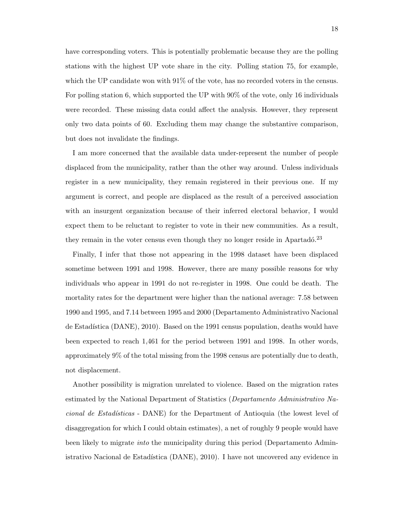have corresponding voters. This is potentially problematic because they are the polling stations with the highest UP vote share in the city. Polling station 75, for example, which the UP candidate won with  $91\%$  of the vote, has no recorded voters in the census. For polling station 6, which supported the UP with 90% of the vote, only 16 individuals were recorded. These missing data could affect the analysis. However, they represent only two data points of 60. Excluding them may change the substantive comparison, but does not invalidate the findings.

I am more concerned that the available data under-represent the number of people displaced from the municipality, rather than the other way around. Unless individuals register in a new municipality, they remain registered in their previous one. If my argument is correct, and people are displaced as the result of a perceived association with an insurgent organization because of their inferred electoral behavior, I would expect them to be reluctant to register to vote in their new communities. As a result, they remain in the voter census even though they no longer reside in Apartadó.<sup>23</sup>

Finally, I infer that those not appearing in the 1998 dataset have been displaced sometime between 1991 and 1998. However, there are many possible reasons for why individuals who appear in 1991 do not re-register in 1998. One could be death. The mortality rates for the department were higher than the national average: 7.58 between 1990 and 1995, and 7.14 between 1995 and 2000 (Departamento Administrativo Nacional de Estadística (DANE), 2010). Based on the 1991 census population, deaths would have been expected to reach 1,461 for the period between 1991 and 1998. In other words, approximately 9% of the total missing from the 1998 census are potentially due to death, not displacement.

Another possibility is migration unrelated to violence. Based on the migration rates estimated by the National Department of Statistics (Departamento Administrativo Nacional de Estadísticas - DANE) for the Department of Antioquia (the lowest level of disaggregation for which I could obtain estimates), a net of roughly 9 people would have been likely to migrate into the municipality during this period (Departamento Administrativo Nacional de Estadística (DANE), 2010). I have not uncovered any evidence in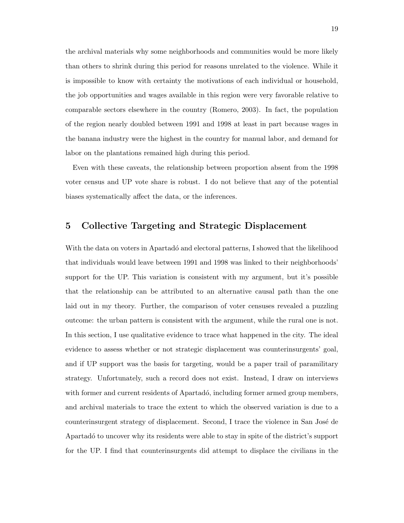the archival materials why some neighborhoods and communities would be more likely than others to shrink during this period for reasons unrelated to the violence. While it is impossible to know with certainty the motivations of each individual or household, the job opportunities and wages available in this region were very favorable relative to comparable sectors elsewhere in the country (Romero, 2003). In fact, the population of the region nearly doubled between 1991 and 1998 at least in part because wages in the banana industry were the highest in the country for manual labor, and demand for labor on the plantations remained high during this period.

Even with these caveats, the relationship between proportion absent from the 1998 voter census and UP vote share is robust. I do not believe that any of the potential biases systematically affect the data, or the inferences.

#### 5 Collective Targeting and Strategic Displacement

With the data on voters in Apartadó and electoral patterns, I showed that the likelihood that individuals would leave between 1991 and 1998 was linked to their neighborhoods' support for the UP. This variation is consistent with my argument, but it's possible that the relationship can be attributed to an alternative causal path than the one laid out in my theory. Further, the comparison of voter censuses revealed a puzzling outcome: the urban pattern is consistent with the argument, while the rural one is not. In this section, I use qualitative evidence to trace what happened in the city. The ideal evidence to assess whether or not strategic displacement was counterinsurgents' goal, and if UP support was the basis for targeting, would be a paper trail of paramilitary strategy. Unfortunately, such a record does not exist. Instead, I draw on interviews with former and current residents of Apartadó, including former armed group members, and archival materials to trace the extent to which the observed variation is due to a counterinsurgent strategy of displacement. Second, I trace the violence in San José de Apartadó to uncover why its residents were able to stay in spite of the district's support for the UP. I find that counterinsurgents did attempt to displace the civilians in the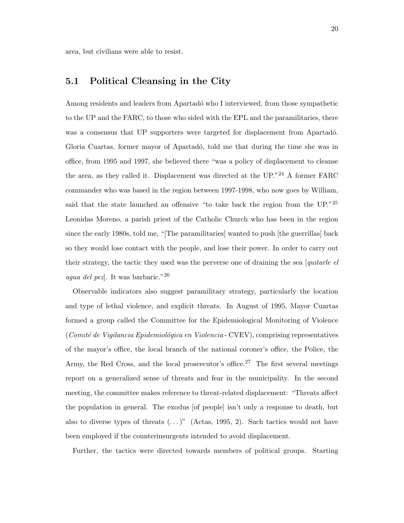area, but civilians were able to resist.

### 5.1 Political Cleansing in the City

Among residents and leaders from Apartadó who I interviewed, from those sympathetic to the UP and the FARC, to those who sided with the EPL and the paramilitaries, there was a consensus that UP supporters were targeted for displacement from Apartadó. Gloria Cuartas, former mayor of Apartadó, told me that during the time she was in office, from 1995 and 1997, she believed there "was a policy of displacement to cleanse the area, as they called it. Displacement was directed at the  $UP.^{24}$  A former FARC commander who was based in the region between 1997-1998, who now goes by William, said that the state launched an offensive "to take back the region from the UP."<sup>25</sup> Leonidas Moreno, a parish priest of the Catholic Church who has been in the region since the early 1980s, told me, "[The paramilitaries] wanted to push [the guerrillas] back so they would lose contact with the people, and lose their power. In order to carry out their strategy, the tactic they used was the perverse one of draining the sea [quitarle el agua del pez]. It was barbaric."<sup>26</sup>

Observable indicators also suggest paramilitary strategy, particularly the location and type of lethal violence, and explicit threats. In August of 1995, Mayor Cuartas formed a group called the Committee for the Epidemiological Monitoring of Violence  $(Comit\acute{e}de Viqilancia Epidemiológica en Violencia - CVEV), comprising representatives$ of the mayor's office, the local branch of the national coroner's office, the Police, the Army, the Red Cross, and the local proscecutor's office.<sup>27</sup> The first several meetings report on a generalized sense of threats and fear in the municipality. In the second meeting, the committee makes reference to threat-related displacement: "Threats affect the population in general. The exodus [of people] isn't only a response to death, but also to diverse types of threats  $(\ldots)$ " (Actas, 1995, 2). Such tactics would not have been employed if the counterinsurgents intended to avoid displacement.

Further, the tactics were directed towards members of political groups. Starting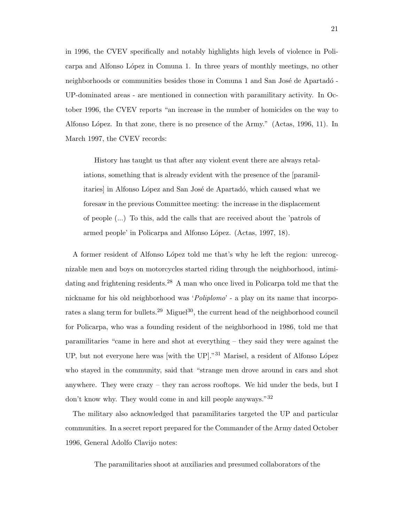in 1996, the CVEV specifically and notably highlights high levels of violence in Policarpa and Alfonso López in Comuna 1. In three years of monthly meetings, no other neighborhoods or communities besides those in Comuna 1 and San José de Apartadó -UP-dominated areas - are mentioned in connection with paramilitary activity. In October 1996, the CVEV reports "an increase in the number of homicides on the way to Alfonso López. In that zone, there is no presence of the Army." (Actas, 1996, 11). In March 1997, the CVEV records:

History has taught us that after any violent event there are always retaliations, something that is already evident with the presence of the [paramilitaries] in Alfonso López and San José de Apartadó, which caused what we foresaw in the previous Committee meeting: the increase in the displacement of people (...) To this, add the calls that are received about the 'patrols of armed people' in Policarpa and Alfonso López. (Actas, 1997, 18).

A former resident of Alfonso López told me that's why he left the region: unrecognizable men and boys on motorcycles started riding through the neighborhood, intimidating and frightening residents.<sup>28</sup> A man who once lived in Policarpa told me that the nickname for his old neighborhood was '*Poliplomo*' - a play on its name that incorporates a slang term for bullets.<sup>29</sup> Miguel<sup>30</sup>, the current head of the neighborhood council for Policarpa, who was a founding resident of the neighborhood in 1986, told me that paramilitaries "came in here and shot at everything – they said they were against the UP, but not everyone here was [with the UP]."<sup>31</sup> Marisel, a resident of Alfonso López who stayed in the community, said that "strange men drove around in cars and shot anywhere. They were crazy – they ran across rooftops. We hid under the beds, but I don't know why. They would come in and kill people anyways."<sup>32</sup>

The military also acknowledged that paramilitaries targeted the UP and particular communities. In a secret report prepared for the Commander of the Army dated October 1996, General Adolfo Clavijo notes:

The paramilitaries shoot at auxiliaries and presumed collaborators of the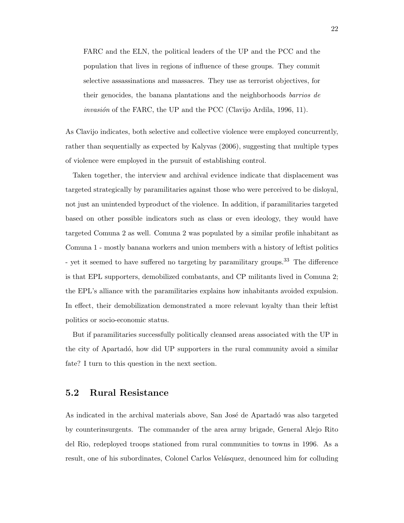FARC and the ELN, the political leaders of the UP and the PCC and the population that lives in regions of influence of these groups. They commit selective assassinations and massacres. They use as terrorist objectives, for their genocides, the banana plantations and the neighborhoods barrios de *invasión* of the FARC, the UP and the PCC (Clavijo Ardila, 1996, 11).

As Clavijo indicates, both selective and collective violence were employed concurrently, rather than sequentially as expected by Kalyvas (2006), suggesting that multiple types of violence were employed in the pursuit of establishing control.

Taken together, the interview and archival evidence indicate that displacement was targeted strategically by paramilitaries against those who were perceived to be disloyal, not just an unintended byproduct of the violence. In addition, if paramilitaries targeted based on other possible indicators such as class or even ideology, they would have targeted Comuna 2 as well. Comuna 2 was populated by a similar profile inhabitant as Comuna 1 - mostly banana workers and union members with a history of leftist politics - yet it seemed to have suffered no targeting by paramilitary groups.<sup>33</sup> The difference is that EPL supporters, demobilized combatants, and CP militants lived in Comuna 2; the EPL's alliance with the paramilitaries explains how inhabitants avoided expulsion. In effect, their demobilization demonstrated a more relevant loyalty than their leftist politics or socio-economic status.

But if paramilitaries successfully politically cleansed areas associated with the UP in the city of Apartadó, how did UP supporters in the rural community avoid a similar fate? I turn to this question in the next section.

#### 5.2 Rural Resistance

As indicated in the archival materials above, San José de Apartadó was also targeted by counterinsurgents. The commander of the area army brigade, General Alejo Rito del Rio, redeployed troops stationed from rural communities to towns in 1996. As a result, one of his subordinates, Colonel Carlos Velásquez, denounced him for colluding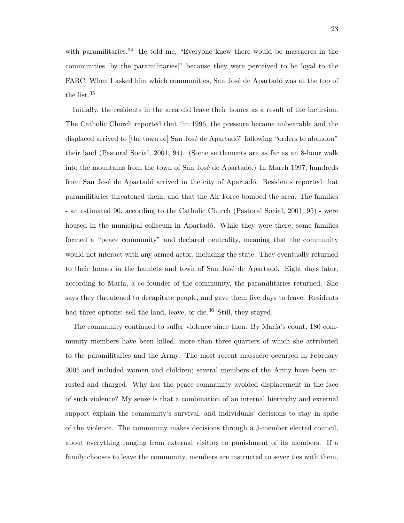with paramilitaries.<sup>34</sup> He told me, "Everyone knew there would be massacres in the communities [by the paramilitaries]" because they were perceived to be loyal to the FARC. When I asked him which communities, San José de Apartadó was at the top of the list.<sup>35</sup>

Initially, the residents in the area did leave their homes as a result of the incursion. The Catholic Church reported that "in 1996, the pressure became unbearable and the displaced arrived to [the town of] San José de Apartadó" following "orders to abandon" their land (Pastoral Social, 2001, 94). (Some settlements are as far as an 8-hour walk into the mountains from the town of San José de Apartadó.) In March 1997, hundreds from San José de Apartadó arrived in the city of Apartadó. Residents reported that paramilitaries threatened them, and that the Air Force bombed the area. The families - an estimated 90, according to the Catholic Church (Pastoral Social, 2001, 95) - were housed in the municipal coliseum in Apartadó. While they were there, some families formed a "peace community" and declared neutrality, meaning that the community would not interact with any armed actor, including the state. They eventually returned to their homes in the hamlets and town of San José de Apartadó. Eight days later, according to María, a co-founder of the community, the paramilitaries returned. She says they threatened to decapitate people, and gave them five days to leave. Residents had three options: sell the land, leave, or die.<sup>36</sup> Still, they stayed.

The community continued to suffer violence since then. By María's count, 180 community members have been killed, more than three-quarters of which she attributed to the paramilitaries and the Army. The most recent massacre occurred in February 2005 and included women and children; several members of the Army have been arrested and charged. Why has the peace community avoided displacement in the face of such violence? My sense is that a combination of an internal hierarchy and external support explain the community's survival, and individuals' decisions to stay in spite of the violence. The community makes decisions through a 5-member elected council, about everything ranging from external visitors to punishment of its members. If a family chooses to leave the community, members are instructed to sever ties with them,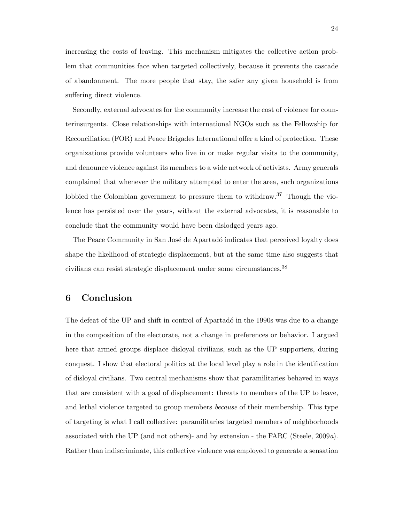increasing the costs of leaving. This mechanism mitigates the collective action problem that communities face when targeted collectively, because it prevents the cascade of abandonment. The more people that stay, the safer any given household is from suffering direct violence.

Secondly, external advocates for the community increase the cost of violence for counterinsurgents. Close relationships with international NGOs such as the Fellowship for Reconciliation (FOR) and Peace Brigades International offer a kind of protection. These organizations provide volunteers who live in or make regular visits to the community, and denounce violence against its members to a wide network of activists. Army generals complained that whenever the military attempted to enter the area, such organizations lobbied the Colombian government to pressure them to withdraw.<sup>37</sup> Though the violence has persisted over the years, without the external advocates, it is reasonable to conclude that the community would have been dislodged years ago.

The Peace Community in San José de Apartadó indicates that perceived loyalty does shape the likelihood of strategic displacement, but at the same time also suggests that civilians can resist strategic displacement under some circumstances.<sup>38</sup>

## 6 Conclusion

The defeat of the UP and shift in control of Apartadó in the 1990s was due to a change in the composition of the electorate, not a change in preferences or behavior. I argued here that armed groups displace disloyal civilians, such as the UP supporters, during conquest. I show that electoral politics at the local level play a role in the identification of disloyal civilians. Two central mechanisms show that paramilitaries behaved in ways that are consistent with a goal of displacement: threats to members of the UP to leave, and lethal violence targeted to group members because of their membership. This type of targeting is what I call collective: paramilitaries targeted members of neighborhoods associated with the UP (and not others)- and by extension - the FARC (Steele, 2009a). Rather than indiscriminate, this collective violence was employed to generate a sensation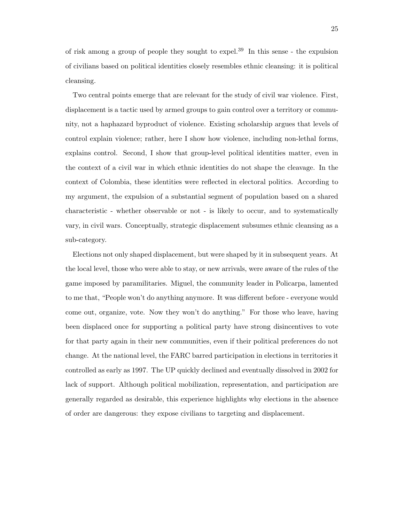of risk among a group of people they sought to expel.<sup>39</sup> In this sense - the expulsion of civilians based on political identities closely resembles ethnic cleansing: it is political cleansing.

Two central points emerge that are relevant for the study of civil war violence. First, displacement is a tactic used by armed groups to gain control over a territory or community, not a haphazard byproduct of violence. Existing scholarship argues that levels of control explain violence; rather, here I show how violence, including non-lethal forms, explains control. Second, I show that group-level political identities matter, even in the context of a civil war in which ethnic identities do not shape the cleavage. In the context of Colombia, these identities were reflected in electoral politics. According to my argument, the expulsion of a substantial segment of population based on a shared characteristic - whether observable or not - is likely to occur, and to systematically vary, in civil wars. Conceptually, strategic displacement subsumes ethnic cleansing as a sub-category.

Elections not only shaped displacement, but were shaped by it in subsequent years. At the local level, those who were able to stay, or new arrivals, were aware of the rules of the game imposed by paramilitaries. Miguel, the community leader in Policarpa, lamented to me that, "People won't do anything anymore. It was different before - everyone would come out, organize, vote. Now they won't do anything." For those who leave, having been displaced once for supporting a political party have strong disincentives to vote for that party again in their new communities, even if their political preferences do not change. At the national level, the FARC barred participation in elections in territories it controlled as early as 1997. The UP quickly declined and eventually dissolved in 2002 for lack of support. Although political mobilization, representation, and participation are generally regarded as desirable, this experience highlights why elections in the absence of order are dangerous: they expose civilians to targeting and displacement.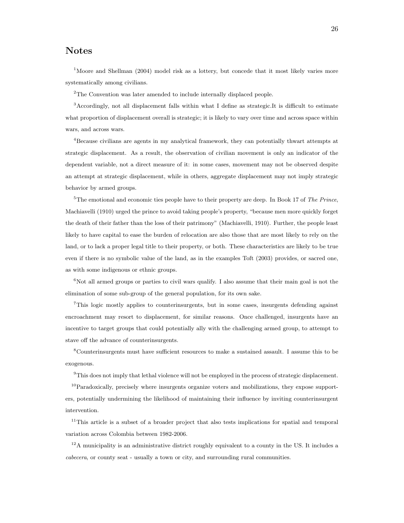### Notes

<sup>1</sup>Moore and Shellman (2004) model risk as a lottery, but concede that it most likely varies more systematically among civilians.

<sup>2</sup>The Convention was later amended to include internally displaced people.

<sup>3</sup>Accordingly, not all displacement falls within what I define as strategic.It is difficult to estimate what proportion of displacement overall is strategic; it is likely to vary over time and across space within wars, and across wars.

<sup>4</sup>Because civilians are agents in my analytical framework, they can potentially thwart attempts at strategic displacement. As a result, the observation of civilian movement is only an indicator of the dependent variable, not a direct measure of it: in some cases, movement may not be observed despite an attempt at strategic displacement, while in others, aggregate displacement may not imply strategic behavior by armed groups.

 $5$ The emotional and economic ties people have to their property are deep. In Book 17 of The Prince, Machiavelli (1910) urged the prince to avoid taking people's property, "because men more quickly forget the death of their father than the loss of their patrimony" (Machiavelli, 1910). Further, the people least likely to have capital to ease the burden of relocation are also those that are most likely to rely on the land, or to lack a proper legal title to their property, or both. These characteristics are likely to be true even if there is no symbolic value of the land, as in the examples Toft (2003) provides, or sacred one, as with some indigenous or ethnic groups.

 $6N$ ot all armed groups or parties to civil wars qualify. I also assume that their main goal is not the elimination of some sub-group of the general population, for its own sake.

<sup>7</sup>This logic mostly applies to counterinsurgents, but in some cases, insurgents defending against encroachment may resort to displacement, for similar reasons. Once challenged, insurgents have an incentive to target groups that could potentially ally with the challenging armed group, to attempt to stave off the advance of counterinsurgents.

<sup>8</sup>Counterinsurgents must have sufficient resources to make a sustained assault. I assume this to be exogenous.

 $9$ This does not imply that lethal violence will not be employed in the process of strategic displacement.

 $10P$ aradoxically, precisely where insurgents organize voters and mobilizations, they expose supporters, potentially undermining the likelihood of maintaining their influence by inviting counterinsurgent intervention.

<sup>11</sup>This article is a subset of a broader project that also tests implications for spatial and temporal variation across Colombia between 1982-2006.

 $12A$  municipality is an administrative district roughly equivalent to a county in the US. It includes a cabecera, or county seat - usually a town or city, and surrounding rural communities.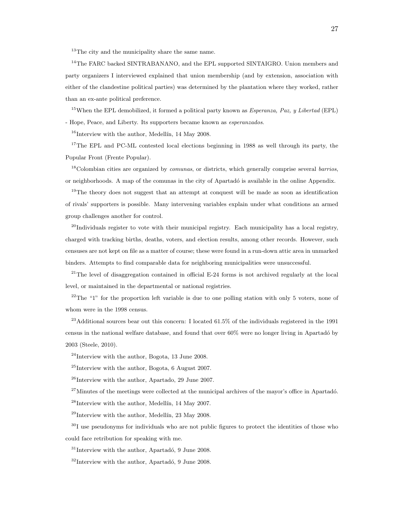<sup>13</sup>The city and the municipality share the same name.

<sup>14</sup>The FARC backed SINTRABANANO, and the EPL supported SINTAIGRO. Union members and party organizers I interviewed explained that union membership (and by extension, association with either of the clandestine political parties) was determined by the plantation where they worked, rather than an ex-ante political preference.

<sup>15</sup>When the EPL demobilized, it formed a political party known as *Esperanza*, Paz, y Libertad (EPL) - Hope, Peace, and Liberty. Its supporters became known as esperanzados.

 $16$ Interview with the author, Medellín, 14 May 2008.

<sup>17</sup>The EPL and PC-ML contested local elections beginning in 1988 as well through its party, the Popular Front (Frente Popular).

 $18$ Colombian cities are organized by *comunas*, or districts, which generally comprise several *barrios*, or neighborhoods. A map of the comunas in the city of Apartadó is available in the online Appendix.

<sup>19</sup>The theory does not suggest that an attempt at conquest will be made as soon as identification of rivals' supporters is possible. Many intervening variables explain under what conditions an armed group challenges another for control.

 $^{20}$ Individuals register to vote with their municipal registry. Each municipality has a local registry, charged with tracking births, deaths, voters, and election results, among other records. However, such censuses are not kept on file as a matter of course; these were found in a run-down attic area in unmarked binders. Attempts to find comparable data for neighboring municipalities were unsuccessful.

<sup>21</sup>The level of disaggregation contained in official E-24 forms is not archived regularly at the local level, or maintained in the departmental or national registries.

 $22$ <sup>22</sup>The "1" for the proportion left variable is due to one polling station with only 5 voters, none of whom were in the 1998 census.

<sup>23</sup>Additional sources bear out this concern: I located 61.5% of the individuals registered in the 1991 census in the national welfare database, and found that over 60% were no longer living in Apartad´o by 2003 (Steele, 2010).

 $^{24}$ Interview with the author, Bogota, 13 June 2008.

 $^{25}$ Interview with the author, Bogota, 6 August 2007.

 $^{26}$ Interview with the author, Apartado, 29 June 2007.

 $27$ Minutes of the meetings were collected at the municipal archives of the mayor's office in Apartadó.

 $^{28}$ Interview with the author, Medellín, 14 May 2007.

 $^{29}$ Interview with the author, Medellín, 23 May 2008.

<sup>30</sup>I use pseudonyms for individuals who are not public figures to protect the identities of those who could face retribution for speaking with me.

 $31$ Interview with the author, Apartadó, 9 June 2008.

 $32$ Interview with the author, Apartadó, 9 June 2008.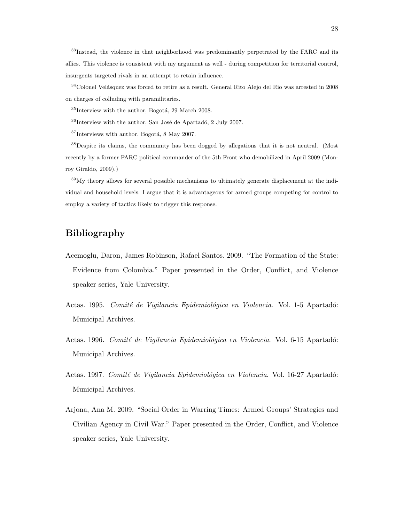<sup>33</sup>Instead, the violence in that neighborhood was predominantly perpetrated by the FARC and its allies. This violence is consistent with my argument as well - during competition for territorial control, insurgents targeted rivals in an attempt to retain influence.

 $^{34}\rm{Colonel}$  Velásquez was forced to retire as a result. General Rito Alejo del Rio was arrested in 2008 on charges of colluding with paramilitaries.

 $35$ Interview with the author, Bogotá, 29 March 2008.

 $36$ Interview with the author, San José de Apartadó, 2 July 2007.

 $37$ Interviews with author, Bogotá, 8 May 2007.

<sup>38</sup>Despite its claims, the community has been dogged by allegations that it is not neutral. (Most recently by a former FARC political commander of the 5th Front who demobilized in April 2009 (Monroy Giraldo, 2009).)

 $39\text{My}$  theory allows for several possible mechanisms to ultimately generate displacement at the individual and household levels. I argue that it is advantageous for armed groups competing for control to employ a variety of tactics likely to trigger this response.

## Bibliography

- Acemoglu, Daron, James Robinson, Rafael Santos. 2009. "The Formation of the State: Evidence from Colombia." Paper presented in the Order, Conflict, and Violence speaker series, Yale University.
- Actas. 1995. Comité de Vigilancia Epidemiológica en Violencia. Vol. 1-5 Apartadó: Municipal Archives.
- Actas. 1996. Comité de Vigilancia Epidemiológica en Violencia. Vol. 6-15 Apartadó: Municipal Archives.
- Actas. 1997. Comité de Vigilancia Epidemiológica en Violencia. Vol. 16-27 Apartadó: Municipal Archives.
- Arjona, Ana M. 2009. "Social Order in Warring Times: Armed Groups' Strategies and Civilian Agency in Civil War." Paper presented in the Order, Conflict, and Violence speaker series, Yale University.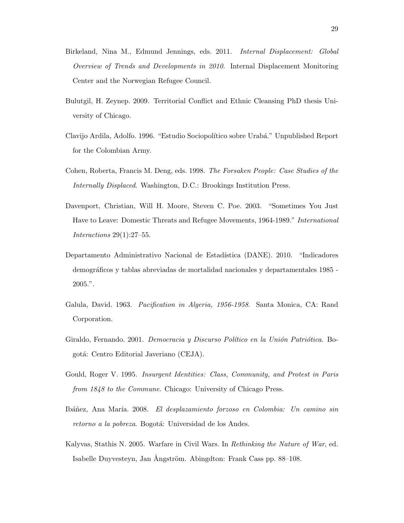- Birkeland, Nina M., Edmund Jennings, eds. 2011. Internal Displacement: Global Overview of Trends and Developments in 2010. Internal Displacement Monitoring Center and the Norwegian Refugee Council.
- Bulutgil, H. Zeynep. 2009. Territorial Conflict and Ethnic Cleansing PhD thesis University of Chicago.
- Clavijo Ardila, Adolfo. 1996. "Estudio Sociopolítico sobre Urabá." Unpublished Report for the Colombian Army.
- Cohen, Roberta, Francis M. Deng, eds. 1998. The Forsaken People: Case Studies of the Internally Displaced. Washington, D.C.: Brookings Institution Press.
- Davenport, Christian, Will H. Moore, Steven C. Poe. 2003. "Sometimes You Just Have to Leave: Domestic Threats and Refugee Movements, 1964-1989." International Interactions  $29(1):27-55$ .
- Departamento Administrativo Nacional de Estadística (DANE). 2010. "Indicadores demogr´aficos y tablas abreviadas de mortalidad nacionales y departamentales 1985 - 2005.".
- Galula, David. 1963. Pacification in Algeria, 1956-1958. Santa Monica, CA: Rand Corporation.
- Giraldo, Fernando. 2001. Democracia y Discurso Político en la Unión Patriótica. Bogotá: Centro Editorial Javeriano (CEJA).
- Gould, Roger V. 1995. Insurgent Identities: Class, Community, and Protest in Paris from 1848 to the Commune. Chicago: University of Chicago Press.
- Ibáñez, Ana María. 2008. El desplazamiento forzoso en Colombia: Un camino sin retorno a la pobreza. Bogotá: Universidad de los Andes.
- Kalyvas, Stathis N. 2005. Warfare in Civil Wars. In Rethinking the Nature of War, ed. Isabelle Duyvesteyn, Jan Ångström. Abingdton: Frank Cass pp. 88–108.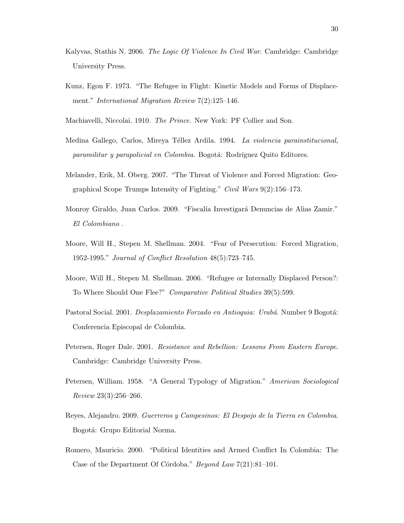- Kalyvas, Stathis N. 2006. The Logic Of Violence In Civil War. Cambridge: Cambridge University Press.
- Kunz, Egon F. 1973. "The Refugee in Flight: Kinetic Models and Forms of Displacement." *International Migration Review* 7(2):125–146.
- Machiavelli, Niccolai. 1910. The Prince. New York: PF Collier and Son.
- Medina Gallego, Carlos, Mireya Téllez Ardila. 1994. La violencia parainstitucional, paramilitar y parapolicial en Colombia. Bogotá: Rodríguez Quito Editores.
- Melander, Erik, M. Oberg. 2007. "The Threat of Violence and Forced Migration: Geographical Scope Trumps Intensity of Fighting." Civil Wars 9(2):156–173.
- Monroy Giraldo, Juan Carlos. 2009. "Fiscalía Investigará Denuncias de Alias Zamir." El Colombiano .
- Moore, Will H., Stepen M. Shellman. 2004. "Fear of Persecution: Forced Migration, 1952-1995." Journal of Conflict Resolution 48(5):723–745.
- Moore, Will H., Stepen M. Shellman. 2006. "Refugee or Internally Displaced Person?: To Where Should One Flee?" Comparative Political Studies 39(5):599.
- Pastoral Social. 2001. Desplazamiento Forzado en Antioquia: Urabá. Number 9 Bogotá: Conferencia Episcopal de Colombia.
- Petersen, Roger Dale. 2001. Resistance and Rebellion: Lessons From Eastern Europe. Cambridge: Cambridge University Press.
- Petersen, William. 1958. "A General Typology of Migration." American Sociological Review 23(3):256–266.
- Reyes, Alejandro. 2009. Guerreros y Campesinos: El Despojo de la Tierra en Colombia. Bogotá: Grupo Editorial Norma.
- Romero, Mauricio. 2000. "Political Identities and Armed Conflict In Colombia: The Case of the Department Of Córdoba." Beyond Law  $7(21):81-101$ .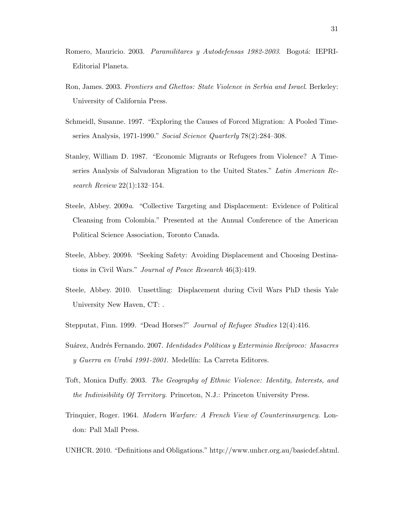- Romero, Mauricio. 2003. Paramilitares y Autodefensas 1982-2003. Bogotá: IEPRI-Editorial Planeta.
- Ron, James. 2003. Frontiers and Ghettos: State Violence in Serbia and Israel. Berkeley: University of California Press.
- Schmeidl, Susanne. 1997. "Exploring the Causes of Forced Migration: A Pooled Timeseries Analysis, 1971-1990." Social Science Quarterly 78(2):284-308.
- Stanley, William D. 1987. "Economic Migrants or Refugees from Violence? A Timeseries Analysis of Salvadoran Migration to the United States." Latin American Research Review 22(1):132–154.
- Steele, Abbey. 2009a. "Collective Targeting and Displacement: Evidence of Political Cleansing from Colombia." Presented at the Annual Conference of the American Political Science Association, Toronto Canada.
- Steele, Abbey. 2009b. "Seeking Safety: Avoiding Displacement and Choosing Destinations in Civil Wars." Journal of Peace Research 46(3):419.
- Steele, Abbey. 2010. Unsettling: Displacement during Civil Wars PhD thesis Yale University New Haven, CT: .
- Stepputat, Finn. 1999. "Dead Horses?" Journal of Refugee Studies 12(4):416.
- Suárez, Andrés Fernando. 2007. Identidades Políticas y Exterminio Recíproco: Masacres y Guerra en Urabá 1991-2001. Medellín: La Carreta Editores.
- Toft, Monica Duffy. 2003. The Geography of Ethnic Violence: Identity, Interests, and the Indivisibility Of Territory. Princeton, N.J.: Princeton University Press.
- Trinquier, Roger. 1964. Modern Warfare: A French View of Counterinsurgency. London: Pall Mall Press.
- UNHCR. 2010. "Definitions and Obligations." http://www.unhcr.org.au/basicdef.shtml.